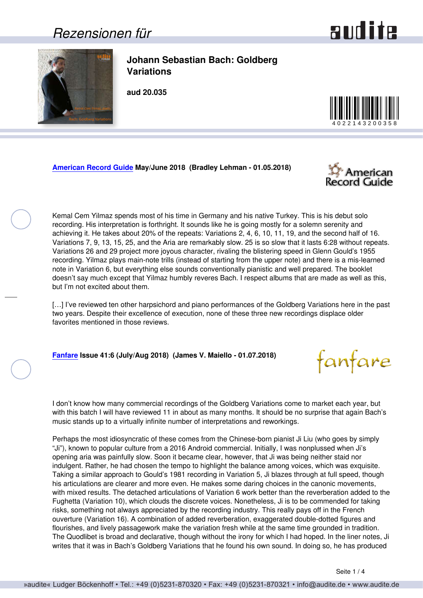## *Rezensionen für*



<span id="page-0-0"></span>

**Johann Sebastian Bach: Goldberg Variations**

**aud 20.035**



**[American Record Guide](http://www.americanrecordguide.com) May/June 2018 (Bradley Lehman - 01.05.2018)**



fanfare

Kemal Cem Yilmaz spends most of his time in Germany and his native Turkey. This is his debut solo recording. His interpretation is forthright. It sounds like he is going mostly for a solemn serenity and achieving it. He takes about 20% of the repeats: Variations 2, 4, 6, 10, 11, 19, and the second half of 16. Variations 7, 9, 13, 15, 25, and the Aria are remarkably slow. 25 is so slow that it lasts 6:28 without repeats. Variations 26 and 29 project more joyous character, rivaling the blistering speed in Glenn Gould's 1955 recording. Yilmaz plays main-note trills (instead of starting from the upper note) and there is a mis-learned note in Variation 6, but everything else sounds conventionally pianistic and well prepared. The booklet doesn't say much except that Yilmaz humbly reveres Bach. I respect albums that are made as well as this, but I'm not excited about them.

[...] I've reviewed ten other harpsichord and piano performances of the Goldberg Variations here in the past two years. Despite their excellence of execution, none of these three new recordings displace older favorites mentioned in those reviews.

**[Fanfare](http://www.fanfaremag.com/) Issue 41:6 (July/Aug 2018) (James V. Maiello - 01.07.2018)**

I don't know how many commercial recordings of the Goldberg Variations come to market each year, but with this batch I will have reviewed 11 in about as many months. It should be no surprise that again Bach's music stands up to a virtually infinite number of interpretations and reworkings.

Perhaps the most idiosyncratic of these comes from the Chinese-born pianist Ji Liu (who goes by simply "Ji"), known to popular culture from a 2016 Android commercial. Initially, I was nonplussed when Ji's opening aria was painfully slow. Soon it became clear, however, that Ji was being neither staid nor indulgent. Rather, he had chosen the tempo to highlight the balance among voices, which was exquisite. Taking a similar approach to Gould's 1981 recording in Variation 5, Ji blazes through at full speed, though his articulations are clearer and more even. He makes some daring choices in the canonic movements, with mixed results. The detached articulations of Variation 6 work better than the reverberation added to the Fughetta (Variation 10), which clouds the discrete voices. Nonetheless, Ji is to be commended for taking risks, something not always appreciated by the recording industry. This really pays off in the French ouverture (Variation 16). A combination of added reverberation, exaggerated double-dotted figures and flourishes, and lively passagework make the variation fresh while at the same time grounded in tradition. The Quodlibet is broad and declarative, though without the irony for which I had hoped. In the liner notes, Ji writes that it was in Bach's Goldberg Variations that he found his own sound. In doing so, he has produced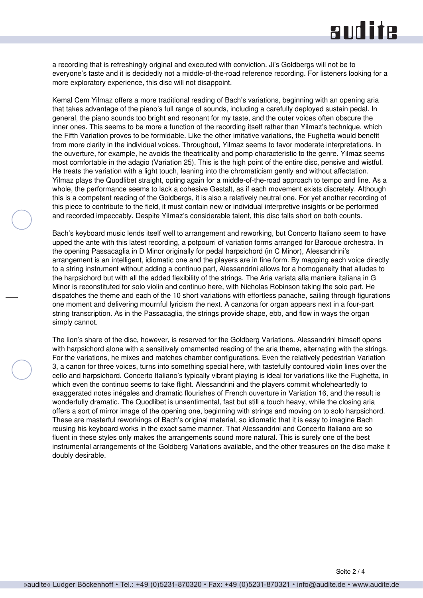## and ite

a recording that is refreshingly original and executed with conviction. Ji's Goldbergs will not be to everyone's taste and it is decidedly not a middle-of-the-road reference recording. For listeners looking for a more exploratory experience, this disc will not disappoint.

Kemal Cem Yilmaz offers a more traditional reading of Bach's variations, beginning with an opening aria that takes advantage of the piano's full range of sounds, including a carefully deployed sustain pedal. In general, the piano sounds too bright and resonant for my taste, and the outer voices often obscure the inner ones. This seems to be more a function of the recording itself rather than Yilmaz's technique, which the Fifth Variation proves to be formidable. Like the other imitative variations, the Fughetta would benefit from more clarity in the individual voices. Throughout, Yilmaz seems to favor moderate interpretations. In the ouverture, for example, he avoids the theatricality and pomp characteristic to the genre. Yilmaz seems most comfortable in the adagio (Variation 25). This is the high point of the entire disc, pensive and wistful. He treats the variation with a light touch, leaning into the chromaticism gently and without affectation. Yilmaz plays the Quodlibet straight, opting again for a middle-of-the-road approach to tempo and line. As a whole, the performance seems to lack a cohesive Gestalt, as if each movement exists discretely. Although this is a competent reading of the Goldbergs, it is also a relatively neutral one. For yet another recording of this piece to contribute to the field, it must contain new or individual interpretive insights or be performed and recorded impeccably. Despite Yilmaz's considerable talent, this disc falls short on both counts.

Bach's keyboard music lends itself well to arrangement and reworking, but Concerto Italiano seem to have upped the ante with this latest recording, a potpourri of variation forms arranged for Baroque orchestra. In the opening Passacaglia in D Minor originally for pedal harpsichord (in C Minor), Alessandrini's arrangement is an intelligent, idiomatic one and the players are in fine form. By mapping each voice directly to a string instrument without adding a continuo part, Alessandrini allows for a homogeneity that alludes to the harpsichord but with all the added flexibility of the strings. The Aria variata alla maniera italiana in G Minor is reconstituted for solo violin and continuo here, with Nicholas Robinson taking the solo part. He dispatches the theme and each of the 10 short variations with effortless panache, sailing through figurations one moment and delivering mournful lyricism the next. A canzona for organ appears next in a four-part string transcription. As in the Passacaglia, the strings provide shape, ebb, and flow in ways the organ simply cannot.

The lion's share of the disc, however, is reserved for the Goldberg Variations. Alessandrini himself opens with harpsichord alone with a sensitively ornamented reading of the aria theme, alternating with the strings. For the variations, he mixes and matches chamber configurations. Even the relatively pedestrian Variation 3, a canon for three voices, turns into something special here, with tastefully contoured violin lines over the cello and harpsichord. Concerto Italiano's typically vibrant playing is ideal for variations like the Fughetta, in which even the continuo seems to take flight. Alessandrini and the players commit wholeheartedly to exaggerated notes inégales and dramatic flourishes of French ouverture in Variation 16, and the result is wonderfully dramatic. The Quodlibet is unsentimental, fast but still a touch heavy, while the closing aria offers a sort of mirror image of the opening one, beginning with strings and moving on to solo harpsichord. These are masterful reworkings of Bach's original material, so idiomatic that it is easy to imagine Bach reusing his keyboard works in the exact same manner. That Alessandrini and Concerto Italiano are so fluent in these styles only makes the arrangements sound more natural. This is surely one of the best instrumental arrangements of the Goldberg Variations available, and the other treasures on the disc make it doubly desirable.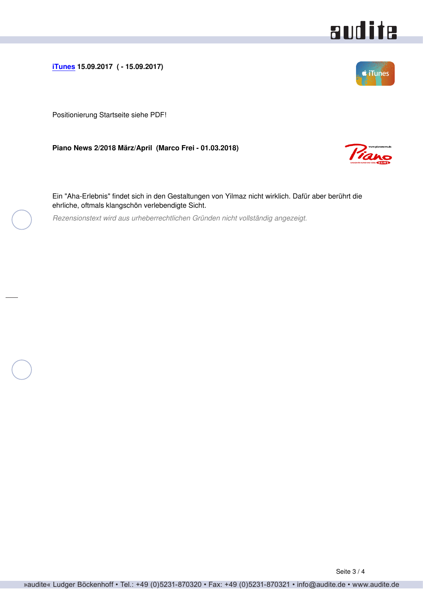<span id="page-2-0"></span>**[iTunes](http://www.apple.com/de/itunes/) 15.09.2017 ( - 15.09.2017)**

Positionierung Startseite siehe PDF!

**Piano News 2/2018 März/April (Marco Frei - 01.03.2018)**

Ein "Aha-Erlebnis" findet sich in den Gestaltungen von Yilmaz nicht wirklich. Dafür aber berührt die ehrliche, oftmals klangschön verlebendigte Sicht.

*Rezensionstext wird aus urheberrechtlichen Gründen nicht vollständig angezeigt.*



audite



Tane